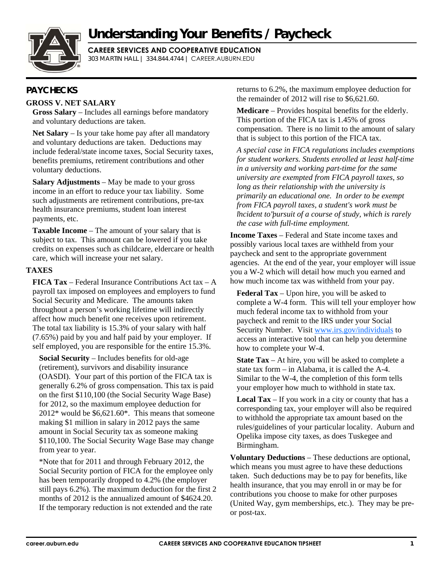

# **Understanding Your Benefits / Paycheck**

**CAREER SERVICES AND COOPERATIVE EDUCATION**

303 MARTIN HALL | 334.844.4744 | CAREER.AUBURN.EDU

# **PAYCHECKS**

## **GROSS V. NET SALARY**

**Gross Salary** – Includes all earnings before mandatory and voluntary deductions are taken.

**Net Salary** – Is your take home pay after all mandatory and voluntary deductions are taken. Deductions may include federal/state income taxes, Social Security taxes, benefits premiums, retirement contributions and other voluntary deductions.

**Salary Adjustments** – May be made to your gross income in an effort to reduce your tax liability. Some such adjustments are retirement contributions, pre-tax health insurance premiums, student loan interest payments, etc.

**Taxable Income** – The amount of your salary that is subject to tax. This amount can be lowered if you take credits on expenses such as childcare, eldercare or health care, which will increase your net salary.

### **TAXES**

**FICA Tax** – Federal Insurance Contributions Act tax – A payroll tax imposed on employees and employers to fund Social Security and Medicare. The amounts taken throughout a person's working lifetime will indirectly affect how much benefit one receives upon retirement. The total tax liability is 15.3% of your salary with half (7.65%) paid by you and half paid by your employer. If self employed, you are responsible for the entire 15.3%.

**Social Security** – Includes benefits for old-age (retirement), survivors and disability insurance (OASDI). Your part of this portion of the FICA tax is generally 6.2% of gross compensation. This tax is paid on the first \$110,100 (the Social Security Wage Base) for 2012, so the maximum employee deduction for  $2012*$  would be \$6,621.60<sup>\*</sup>. This means that someone making \$1 million in salary in 2012 pays the same amount in Social Security tax as someone making \$110,100. The Social Security Wage Base may change from year to year.

\*Note that for 2011 and through February 2012, the Social Security portion of FICA for the employee only has been temporarily dropped to 4.2% (the employer still pays 6.2%). The maximum deduction for the first 2 months of 2012 is the annualized amount of \$4624.20. If the temporary reduction is not extended and the rate

returns to 6.2%, the maximum employee deduction for the remainder of 2012 will rise to \$6,621.60.

**Medicare** – Provides hospital benefits for the elderly. This portion of the FICA tax is 1.45% of gross compensation. There is no limit to the amount of salary that is subject to this portion of the FICA tax.

*A special case in FICA regulations includes exemptions for student workers. Students enrolled at least half-time in a university and working part-time for the same university are exempted from FICA payroll taxes, so long as their relationship with the university is primarily an educational one. In order to be exempt from FICA payroll taxes, a student's work must be incident to" pursuit of a course of study, which is rarely the case with full-time employment.* 

**Income Taxes** – Federal and State income taxes and possibly various local taxes are withheld from your paycheck and sent to the appropriate government agencies. At the end of the year, your employer will issue you a W-2 which will detail how much you earned and how much income tax was withheld from your pay.

**Federal Tax** – Upon hire, you will be asked to complete a W-4 form. This will tell your employer how much federal income tax to withhold from your paycheck and remit to the IRS under your Social Security Number. Visit www.irs.gov/individuals to access an interactive tool that can help you determine how to complete your W-4.

**State Tax** – At hire, you will be asked to complete a state tax form – in Alabama, it is called the A-4. Similar to the W-4, the completion of this form tells your employer how much to withhold in state tax.

**Local Tax** – If you work in a city or county that has a corresponding tax, your employer will also be required to withhold the appropriate tax amount based on the rules/guidelines of your particular locality. Auburn and Opelika impose city taxes, as does Tuskegee and Birmingham.

**Voluntary Deductions** – These deductions are optional, which means you must agree to have these deductions taken. Such deductions may be to pay for benefits, like health insurance, that you may enroll in or may be for contributions you choose to make for other purposes (United Way, gym memberships, etc.). They may be preor post-tax.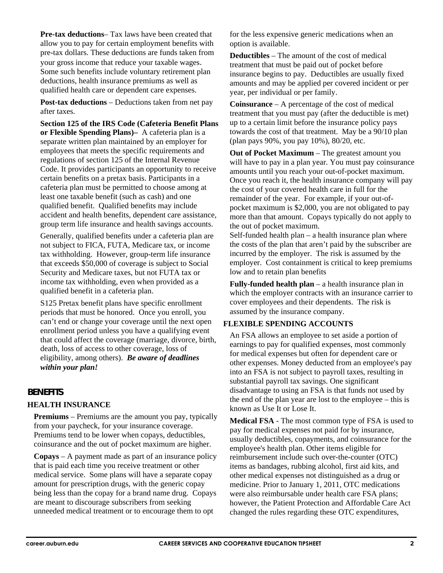**Pre-tax deductions**– Tax laws have been created that allow you to pay for certain employment benefits with pre-tax dollars. These deductions are funds taken from your gross income that reduce your taxable wages. Some such benefits include voluntary retirement plan deductions, health insurance premiums as well as qualified health care or dependent care expenses.

**Post-tax deductions** – Deductions taken from net pay after taxes.

**Section 125 of the IRS Code (Cafeteria Benefit Plans or Flexible Spending Plans)–** A cafeteria plan is a separate written plan maintained by an employer for employees that meets the specific requirements and regulations of section 125 of the Internal Revenue Code. It provides participants an opportunity to receive certain benefits on a pretax basis. Participants in a cafeteria plan must be permitted to choose among at least one taxable benefit (such as cash) and one qualified benefit. Qualified benefits may include accident and health benefits, dependent care assistance, group term life insurance and health savings accounts.

Generally, qualified benefits under a cafeteria plan are not subject to FICA, FUTA, Medicare tax, or income tax withholding. However, group-term life insurance that exceeds \$50,000 of coverage is subject to Social Security and Medicare taxes, but not FUTA tax or income tax withholding, even when provided as a qualified benefit in a cafeteria plan.

S125 Pretax benefit plans have specific enrollment periods that must be honored. Once you enroll, you can't end or change your coverage until the next open enrollment period unless you have a qualifying event that could affect the coverage (marriage, divorce, birth, death, loss of access to other coverage, loss of eligibility, among others). *Be aware of deadlines within your plan!* 

# **BENEFITS**

#### **HEALTH INSURANCE**

**Premiums** – Premiums are the amount you pay, typically from your paycheck, for your insurance coverage. Premiums tend to be lower when copays, deductibles, coinsurance and the out of pocket maximum are higher.

**Copays** – A payment made as part of an insurance policy that is paid each time you receive treatment or other medical service. Some plans will have a separate copay amount for prescription drugs, with the generic copay being less than the copay for a brand name drug. Copays are meant to discourage subscribers from seeking unneeded medical treatment or to encourage them to opt

for the less expensive generic medications when an option is available.

**Deductibles** – The amount of the cost of medical treatment that must be paid out of pocket before insurance begins to pay. Deductibles are usually fixed amounts and may be applied per covered incident or per year, per individual or per family.

**Coinsurance** – A percentage of the cost of medical treatment that you must pay (after the deductible is met) up to a certain limit before the insurance policy pays towards the cost of that treatment. May be a 90/10 plan (plan pays 90%, you pay 10%), 80/20, etc.

**Out of Pocket Maximum** – The greatest amount you will have to pay in a plan year. You must pay coinsurance amounts until you reach your out-of-pocket maximum. Once you reach it, the health insurance company will pay the cost of your covered health care in full for the remainder of the year. For example, if your out-ofpocket maximum is \$2,000, you are not obligated to pay more than that amount. Copays typically do not apply to the out of pocket maximum.

Self-funded health plan – a health insurance plan where the costs of the plan that aren't paid by the subscriber are incurred by the employer. The risk is assumed by the employer. Cost containment is critical to keep premiums low and to retain plan benefits

**Fully-funded health plan** – a health insurance plan in which the employer contracts with an insurance carrier to cover employees and their dependents. The risk is assumed by the insurance company.

#### **FLEXIBLE SPENDING ACCOUNTS**

An FSA allows an employee to set aside a portion of earnings to pay for qualified expenses, most commonly for medical expenses but often for dependent care or other expenses. Money deducted from an employee's pay into an FSA is not subject to payroll taxes, resulting in substantial payroll tax savings. One significant disadvantage to using an FSA is that funds not used by the end of the plan year are lost to the employee – this is known as Use It or Lose It.

**Medical FSA** - The most common type of FSA is used to pay for medical expenses not paid for by insurance, usually deductibles, copayments, and coinsurance for the employee's health plan. Other items eligible for reimbursement include such over-the-counter (OTC) items as bandages, rubbing alcohol, first aid kits, and other medical expenses not distinguished as a drug or medicine. Prior to January 1, 2011, OTC medications were also reimbursable under health care FSA plans; however, the Patient Protection and Affordable Care Act changed the rules regarding these OTC expenditures,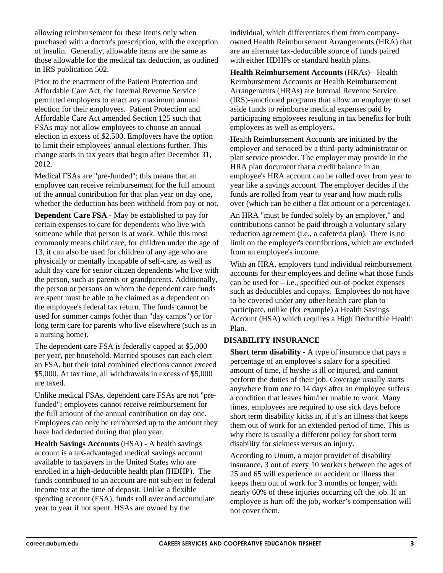allowing reimbursement for these items only when purchased with a doctor's prescription, with the exception of insulin. Generally, allowable items are the same as those allowable for the medical tax deduction, as outlined in IRS publication 502.

Prior to the enactment of the Patient Protection and Affordable Care Act, the Internal Revenue Service permitted employers to enact any maximum annual election for their employees. Patient Protection and Affordable Care Act amended Section 125 such that FSAs may not allow employees to choose an annual election in excess of \$2,500. Employers have the option to limit their employees' annual elections further. This change starts in tax years that begin after December 31, 2012.

Medical FSAs are "pre-funded"; this means that an employee can receive reimbursement for the full amount of the annual contribution for that plan year on day one, whether the deduction has been withheld from pay or not.

**Dependent Care FSA** - May be established to pay for certain expenses to care for dependents who live with someone while that person is at work. While this most commonly means child care, for children under the age of 13, it can also be used for children of any age who are physically or mentally incapable of self-care, as well as adult day care for senior citizen dependents who live with the person, such as parents or grandparents. Additionally, the person or persons on whom the dependent care funds are spent must be able to be claimed as a dependent on the employee's federal tax return. The funds cannot be used for summer camps (other than "day camps") or for long term care for parents who live elsewhere (such as in a nursing home).

The dependent care FSA is federally capped at \$5,000 per year, per household. Married spouses can each elect an FSA, but their total combined elections cannot exceed \$5,000. At tax time, all withdrawals in excess of \$5,000 are taxed.

Unlike medical FSAs, dependent care FSAs are not "prefunded"; employees cannot receive reimbursement for the full amount of the annual contribution on day one. Employees can only be reimbursed up to the amount they have had deducted during that plan year.

**Health Savings Accounts** (HSA) - A health savings account is a tax-advantaged medical savings account available to taxpayers in the United States who are enrolled in a high-deductible health plan (HDHP). The funds contributed to an account are not subject to federal income tax at the time of deposit. Unlike a flexible spending account (FSA), funds roll over and accumulate year to year if not spent. HSAs are owned by the

individual, which differentiates them from companyowned Health Reimbursement Arrangements (HRA) that are an alternate tax-deductible source of funds paired with either HDHPs or standard health plans.

**Health Reimbursement Accounts** (HRAs)- Health Reimbursement Accounts or Health Reimbursement Arrangements (HRAs) are Internal Revenue Service (IRS)-sanctioned programs that allow an employer to set aside funds to reimburse medical expenses paid by participating employees resulting in tax benefits for both employees as well as employers.

Health Reimbursement Accounts are initiated by the employer and serviced by a third-party administrator or plan service provider. The employer may provide in the HRA plan document that a credit balance in an employee's HRA account can be rolled over from year to year like a savings account. The employer decides if the funds are rolled from year to year and how much rolls over (which can be either a flat amount or a percentage).

An HRA "must be funded solely by an employer," and contributions cannot be paid through a voluntary salary reduction agreement (i.e., a cafeteria plan). There is no limit on the employer's contributions, which are excluded from an employee's income.

With an HRA, employers fund individual reimbursement accounts for their employees and define what those funds can be used for  $-$  i.e., specified out-of-pocket expenses such as deductibles and copays. Employees do not have to be covered under any other health care plan to participate, unlike (for example) a Health Savings Account (HSA) which requires a High Deductible Health Plan.

# **DISABILITY INSURANCE**

**Short term disability -** A type of insurance that pays a percentage of an employee's salary for a specified amount of time, if he/she is ill or injured, and cannot perform the duties of their job. Coverage usually starts anywhere from one to 14 days after an employee suffers a condition that leaves him/her unable to work. Many times, employees are required to use sick days before short term disability kicks in, if it's an illness that keeps them out of work for an extended period of time. This is why there is usually a different policy for short term disability for sickness versus an injury.

According to Unum, a major provider of disability insurance, 3 out of every 10 workers between the ages of 25 and 65 will experience an accident or illness that keeps them out of work for 3 months or longer, with nearly 60% of these injuries occurring off the job. If an employee is hurt off the job, worker's compensation will not cover them.